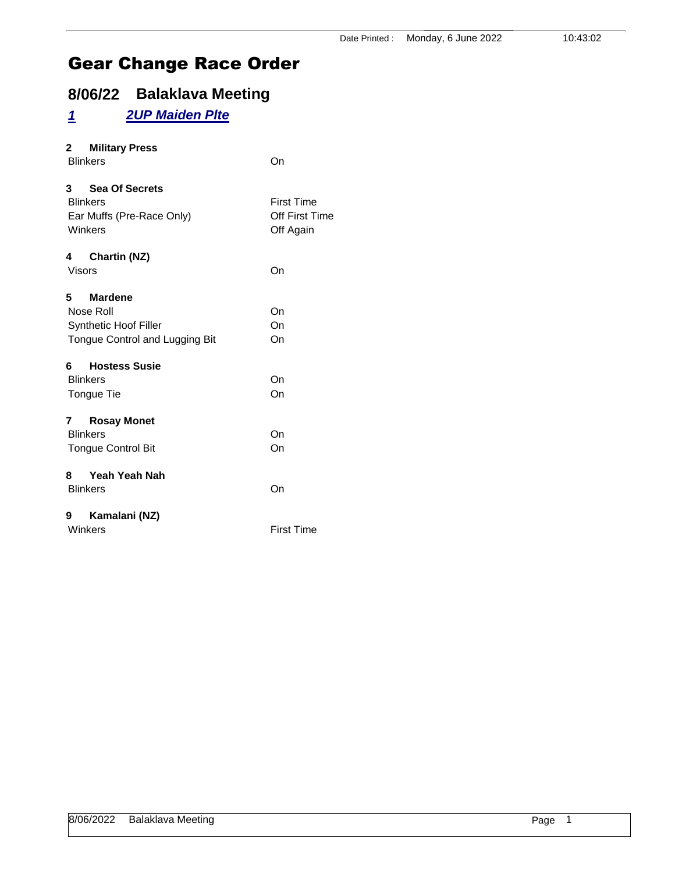# **8/06/22 Balaklava Meeting**

# *1 2UP Maiden Plte*

| 2 Military Press<br><b>Blinkers</b>                                               | On                                               |
|-----------------------------------------------------------------------------------|--------------------------------------------------|
| 3 Sea Of Secrets<br><b>Blinkers</b><br>Ear Muffs (Pre-Race Only)<br>Winkers       | <b>First Time</b><br>Off First Time<br>Off Again |
| 4<br><b>Chartin (NZ)</b><br><b>Visors</b>                                         | On                                               |
| 5 Mardene<br>Nose Roll<br>Synthetic Hoof Filler<br>Tongue Control and Lugging Bit | On<br>On<br>On                                   |
| 6 Hostess Susie<br><b>Blinkers</b><br>Tongue Tie                                  | On<br>On                                         |
| 7 Rosay Monet<br><b>Blinkers</b><br><b>Tongue Control Bit</b>                     | On<br>On                                         |
| 8 Yeah Yeah Nah<br><b>Blinkers</b>                                                | On                                               |
| Kamalani (NZ)<br>9<br>Winkers                                                     | <b>First Time</b>                                |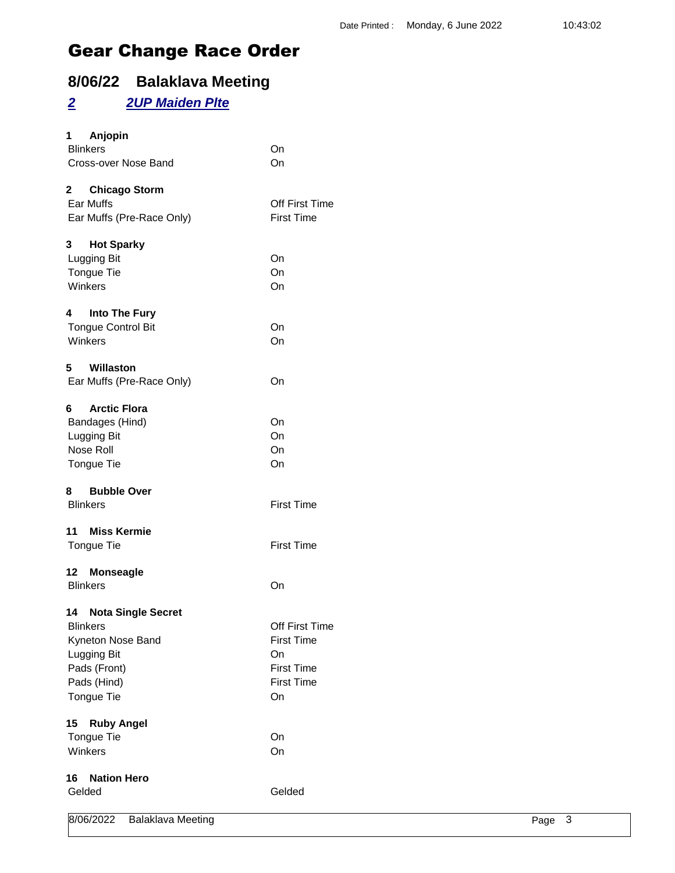# **8/06/22 Balaklava Meeting**

### *2 2UP Maiden Plte*

| 1<br>Anjopin<br><b>Blinkers</b>       | On                |        |  |
|---------------------------------------|-------------------|--------|--|
| Cross-over Nose Band                  | On                |        |  |
|                                       |                   |        |  |
| $\mathbf{2}$<br><b>Chicago Storm</b>  |                   |        |  |
| Ear Muffs                             | Off First Time    |        |  |
| Ear Muffs (Pre-Race Only)             | <b>First Time</b> |        |  |
| <b>Hot Sparky</b><br>3                |                   |        |  |
| Lugging Bit                           | On                |        |  |
| Tongue Tie                            | On                |        |  |
| Winkers                               | On                |        |  |
| Into The Fury<br>4                    |                   |        |  |
| <b>Tongue Control Bit</b>             | On                |        |  |
| Winkers                               | On                |        |  |
| 5<br>Willaston                        |                   |        |  |
| Ear Muffs (Pre-Race Only)             | On                |        |  |
| <b>Arctic Flora</b><br>6              |                   |        |  |
| Bandages (Hind)                       | On                |        |  |
| Lugging Bit                           | On                |        |  |
| Nose Roll                             | On                |        |  |
| Tongue Tie                            | On                |        |  |
| <b>Bubble Over</b><br>8               |                   |        |  |
| <b>Blinkers</b>                       | <b>First Time</b> |        |  |
| <b>Miss Kermie</b><br>11              |                   |        |  |
| Tongue Tie                            | <b>First Time</b> |        |  |
| <b>Monseagle</b><br>12                |                   |        |  |
| <b>Blinkers</b>                       | On                |        |  |
| <b>Nota Single Secret</b><br>14       |                   |        |  |
| <b>Blinkers</b>                       | Off First Time    |        |  |
| Kyneton Nose Band                     | <b>First Time</b> |        |  |
| Lugging Bit                           | On                |        |  |
| Pads (Front)                          | <b>First Time</b> |        |  |
| Pads (Hind)                           | <b>First Time</b> |        |  |
| Tongue Tie                            | On                |        |  |
| <b>Ruby Angel</b><br>15               |                   |        |  |
| Tongue Tie                            | On                |        |  |
| Winkers                               | On                |        |  |
| <b>Nation Hero</b><br>16              |                   |        |  |
| Gelded                                | Gelded            |        |  |
| 8/06/2022<br><b>Balaklava Meeting</b> |                   | Page 3 |  |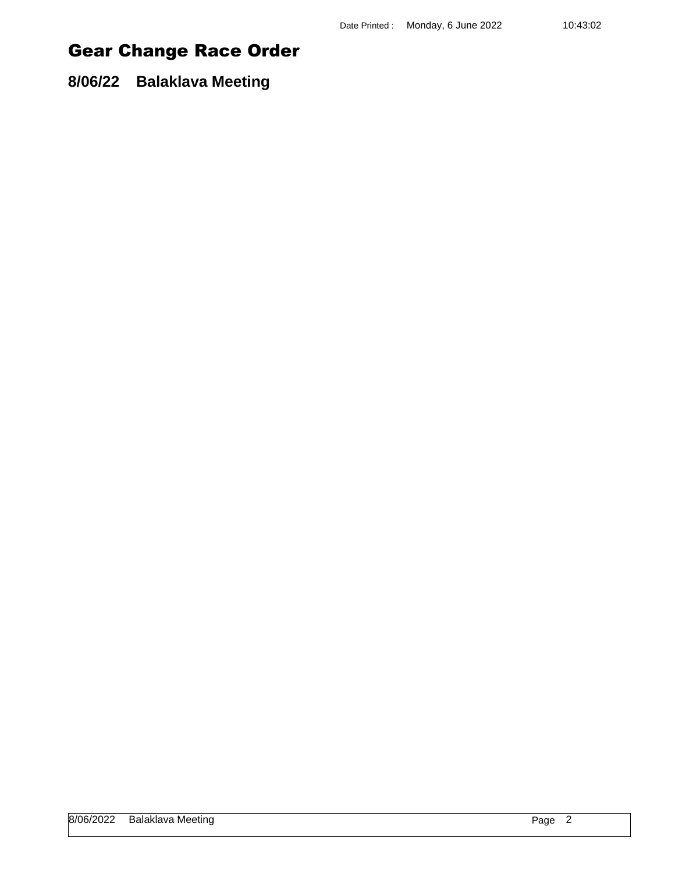**8/06/22 Balaklava Meeting**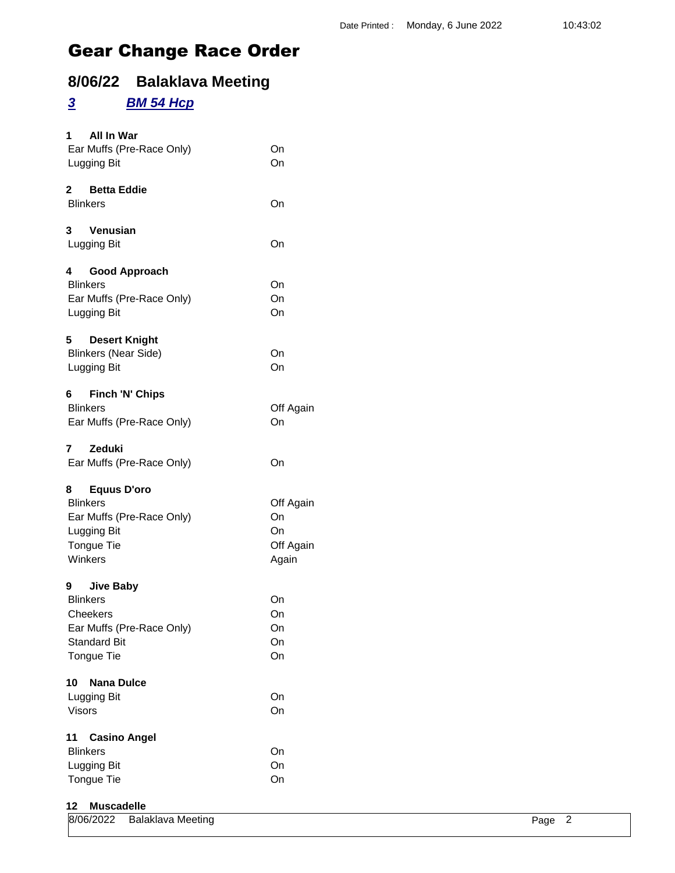# **8/06/22 Balaklava Meeting**

## *3 BM 54 Hcp*

| All In War<br>1.<br>Ear Muffs (Pre-Race Only)<br>Lugging Bit                                                                  | On<br>On                                    |
|-------------------------------------------------------------------------------------------------------------------------------|---------------------------------------------|
| 2 Betta Eddie<br><b>Blinkers</b>                                                                                              | On                                          |
| 3<br>Venusian<br>Lugging Bit                                                                                                  | On                                          |
| 4<br><b>Good Approach</b><br><b>Blinkers</b><br>Ear Muffs (Pre-Race Only)<br>Lugging Bit                                      | On<br>On<br>On                              |
| 5<br><b>Desert Knight</b><br><b>Blinkers (Near Side)</b><br>Lugging Bit                                                       | On<br>On                                    |
| 6 Finch 'N' Chips<br><b>Blinkers</b><br>Ear Muffs (Pre-Race Only)                                                             | Off Again<br>On                             |
| 7<br><b>Zeduki</b><br>Ear Muffs (Pre-Race Only)                                                                               | On                                          |
| 8 Equus D'oro<br><b>Blinkers</b><br>Ear Muffs (Pre-Race Only)<br>Lugging Bit<br><b>Tongue Tie</b><br>Winkers                  | Off Again<br>On<br>On<br>Off Again<br>Again |
| 9<br><b>Jive Baby</b><br><b>Blinkers</b><br>Cheekers<br>Ear Muffs (Pre-Race Only)<br><b>Standard Bit</b><br><b>Tongue Tie</b> | On<br>On<br>On<br>On<br>On                  |
| 10<br><b>Nana Dulce</b><br>Lugging Bit<br><b>Visors</b>                                                                       | On<br>On                                    |
| 11<br><b>Casino Angel</b><br><b>Blinkers</b><br>Lugging Bit<br>Tongue Tie                                                     | On<br>On<br>On                              |

#### **12 Muscadelle**

|  | 8/06/2022 Balaklava Meeting<br>. | Page 2 |  |
|--|----------------------------------|--------|--|
|--|----------------------------------|--------|--|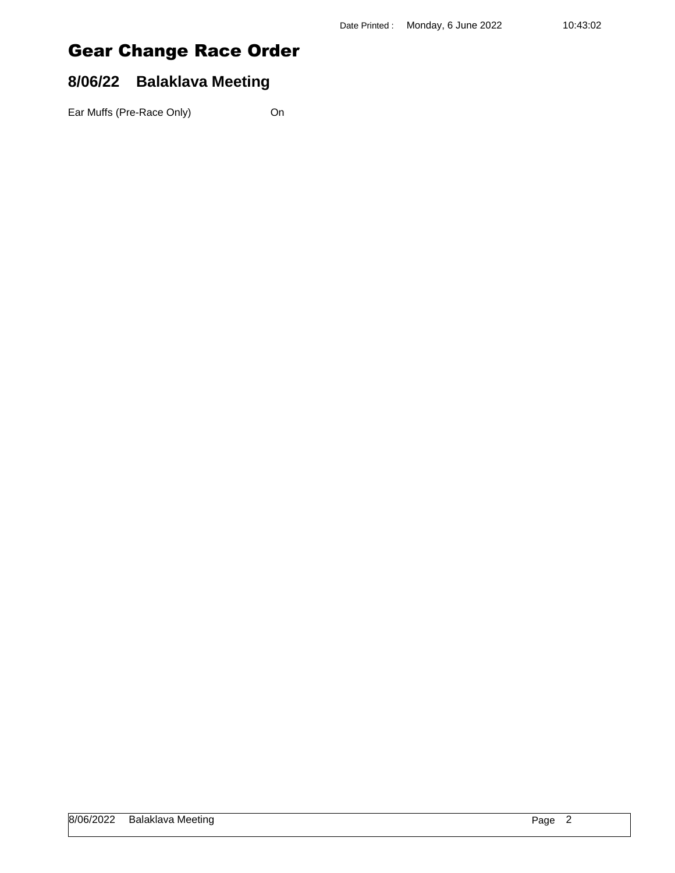### **8/06/22 Balaklava Meeting**

Ear Muffs (Pre-Race Only) On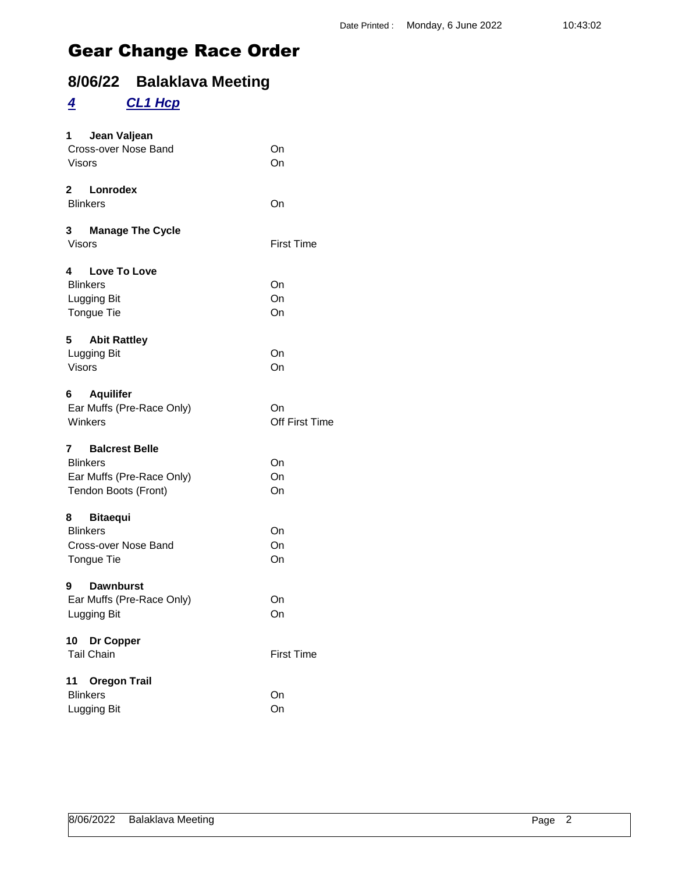# **8/06/22 Balaklava Meeting**

### *4 CL1 Hcp*

| 1 Jean Valjean<br>Cross-over Nose Band | On                    |
|----------------------------------------|-----------------------|
| Visors                                 | On                    |
| 2 Lonrodex                             |                       |
| <b>Blinkers</b>                        | On                    |
| 3 Manage The Cycle<br><b>Visors</b>    | <b>First Time</b>     |
| 4 Love To Love                         |                       |
| <b>Blinkers</b>                        | On                    |
| Lugging Bit                            | On                    |
| Tongue Tie                             | On                    |
| 5 Abit Rattley                         |                       |
| Lugging Bit                            | On                    |
| <b>Visors</b>                          | On                    |
| <b>Aquilifer</b><br>6                  |                       |
| Ear Muffs (Pre-Race Only)              | On                    |
| Winkers                                | <b>Off First Time</b> |
| <b>Balcrest Belle</b><br>7             |                       |
| <b>Blinkers</b>                        | On                    |
| Ear Muffs (Pre-Race Only)              | On                    |
| Tendon Boots (Front)                   | On                    |
| 8 Bitaequi                             |                       |
| <b>Blinkers</b>                        | On                    |
| Cross-over Nose Band                   | On                    |
| Tongue Tie                             | On                    |
| 9<br><b>Dawnburst</b>                  |                       |
| Ear Muffs (Pre-Race Only)              | On                    |
| Lugging Bit                            | On                    |
| 10 Dr Copper                           |                       |
| <b>Tail Chain</b>                      | <b>First Time</b>     |
| <b>Oregon Trail</b><br>11              |                       |
| <b>Blinkers</b>                        | On                    |
| Lugging Bit                            | On                    |
|                                        |                       |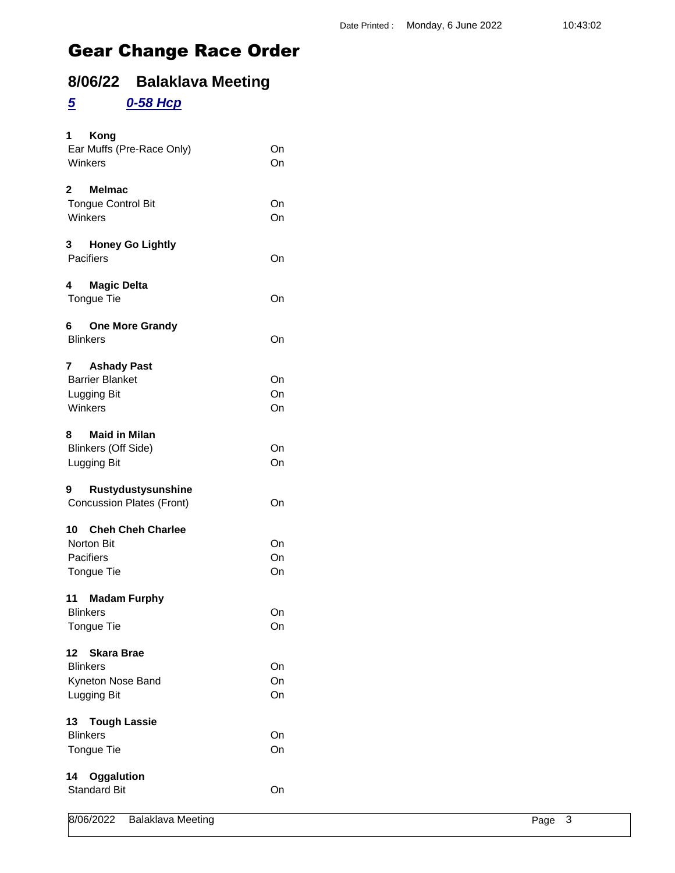# **8/06/22 Balaklava Meeting**

#### *5 0-58 Hcp*

| 1<br>Kong<br>Ear Muffs (Pre-Race Only)<br>Winkers                              | On<br>On       |
|--------------------------------------------------------------------------------|----------------|
| $\mathbf{2}$<br><b>Melmac</b><br><b>Tongue Control Bit</b><br>Winkers          | On<br>On       |
| 3<br><b>Honey Go Lightly</b><br>Pacifiers                                      | On             |
| 4<br>Magic Delta<br>Tongue Tie                                                 | On             |
| 6 One More Grandy<br><b>Blinkers</b>                                           | On             |
| <b>Ashady Past</b><br>7<br><b>Barrier Blanket</b><br>Lugging Bit<br>Winkers    | On<br>On<br>On |
| 8<br><b>Maid in Milan</b><br><b>Blinkers (Off Side)</b><br>Lugging Bit         | On<br>On       |
| Rustydustysunshine<br>9<br><b>Concussion Plates (Front)</b>                    | On             |
| 10 Cheh Cheh Charlee<br>Norton Bit<br>Pacifiers<br>Tongue Tie                  | On<br>On<br>On |
| 11<br><b>Madam Furphy</b><br><b>Blinkers</b><br>Tongue Tie                     | On<br>On       |
| 12<br><b>Skara Brae</b><br><b>Blinkers</b><br>Kyneton Nose Band<br>Lugging Bit | On<br>On<br>On |
| 13 Tough Lassie<br><b>Blinkers</b><br>Tongue Tie                               | On<br>On       |
| 14<br>Oggalution<br><b>Standard Bit</b>                                        | On             |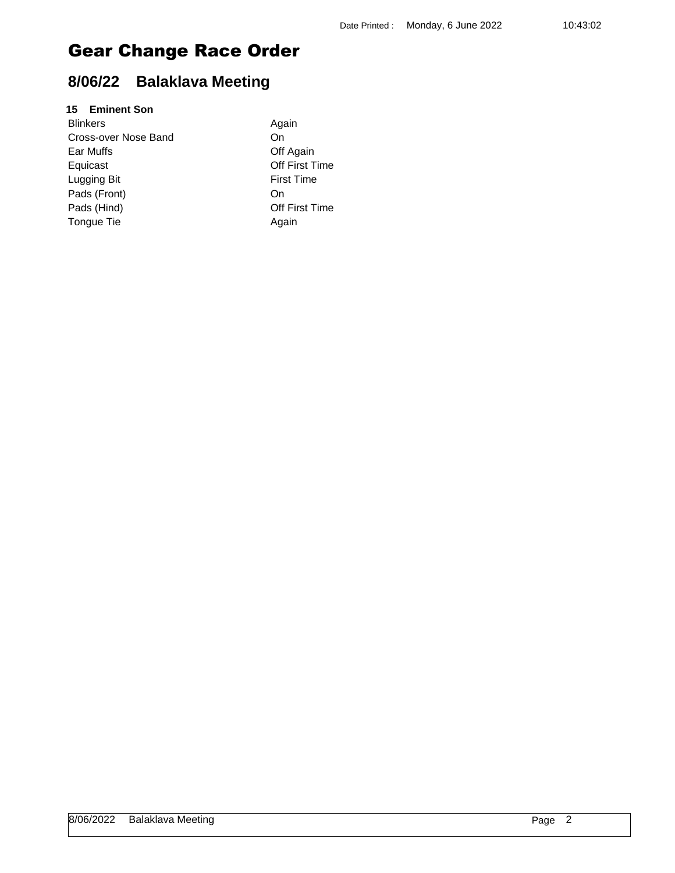# **8/06/22 Balaklava Meeting**

#### **15 Eminent Son**

| <b>Blinkers</b>      | Again   |
|----------------------|---------|
| Cross-over Nose Band | On      |
| Ear Muffs            | Off Aq  |
| Equicast             | Off Fir |
| Lugging Bit          | First T |
| Pads (Front)         | On      |
| Pads (Hind)          | Off Fir |
| Tongue Tie           | Again   |
|                      |         |

Again Off Again Off First Time **First Time** Off First Time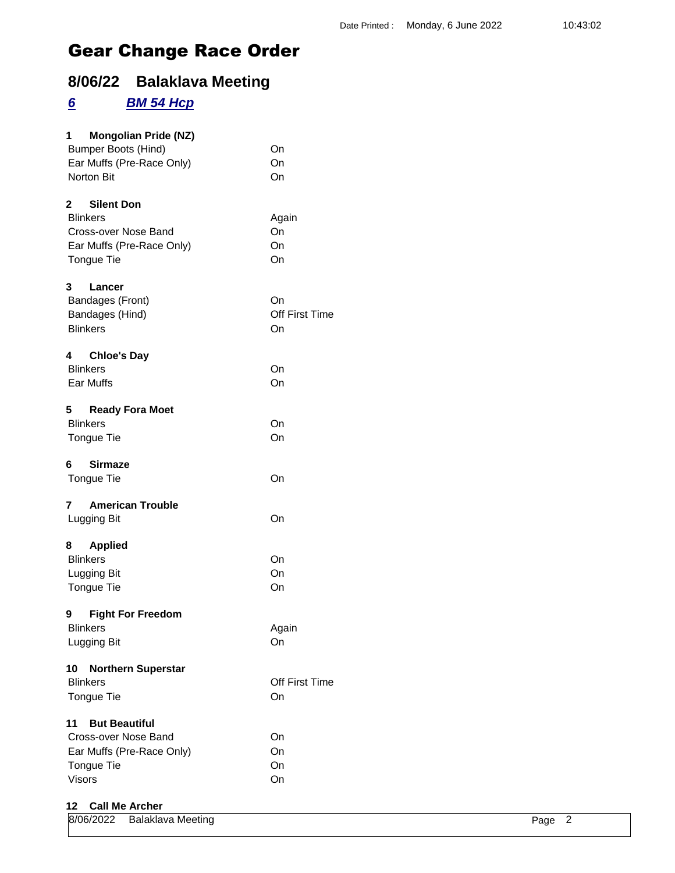# **8/06/22 Balaklava Meeting**

### *6 BM 54 Hcp*

| <b>Mongolian Pride (NZ)</b><br>1<br><b>Bumper Boots (Hind)</b><br>Ear Muffs (Pre-Race Only)<br>Norton Bit      | On<br>On<br>On             |
|----------------------------------------------------------------------------------------------------------------|----------------------------|
| 2 Silent Don<br><b>Blinkers</b><br>Cross-over Nose Band<br>Ear Muffs (Pre-Race Only)<br>Tongue Tie             | Again<br>On<br>On<br>On    |
| 3 <sup>1</sup><br>Lancer<br>Bandages (Front)<br>Bandages (Hind)<br><b>Blinkers</b>                             | On<br>Off First Time<br>On |
| 4<br><b>Chloe's Day</b><br><b>Blinkers</b><br>Ear Muffs                                                        | On<br>On                   |
| <b>Ready Fora Moet</b><br>5<br><b>Blinkers</b><br><b>Tongue Tie</b>                                            | On<br>On                   |
| <b>Sirmaze</b><br>6<br>Tongue Tie                                                                              | On                         |
| <b>American Trouble</b><br>7<br>Lugging Bit                                                                    | On                         |
| 8 Applied<br><b>Blinkers</b><br>Lugging Bit<br>Tongue Tie                                                      | On<br>On<br>On             |
| 9 Fight For Freedom<br><b>Blinkers</b><br>Lugging Bit                                                          | Again<br>On                |
| 10<br><b>Northern Superstar</b><br><b>Blinkers</b><br>Tongue Tie                                               | Off First Time<br>On       |
| <b>But Beautiful</b><br>11<br>Cross-over Nose Band<br>Ear Muffs (Pre-Race Only)<br>Tongue Tie<br><b>Visors</b> | On<br>On<br>On<br>On       |

#### **12 Call Me Archer**

| 8/06/2022 Balaklava Meeting | Page |  |
|-----------------------------|------|--|
|                             |      |  |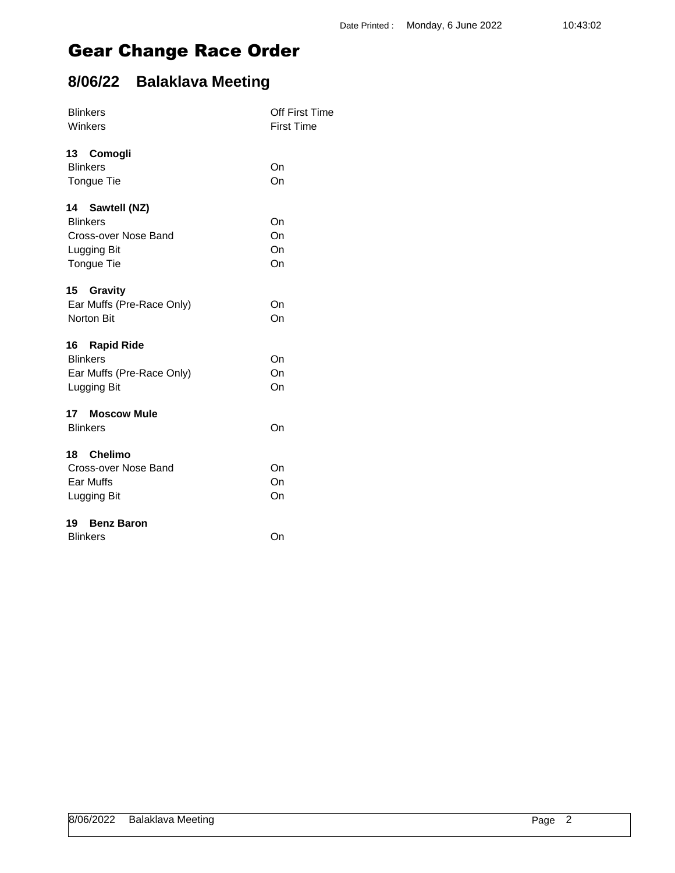# **8/06/22 Balaklava Meeting**

| <b>Blinkers</b><br>Winkers       | <b>Off First Time</b><br><b>First Time</b> |
|----------------------------------|--------------------------------------------|
|                                  |                                            |
| 13 Comogli<br><b>Blinkers</b>    | On                                         |
| Tongue Tie                       | On                                         |
|                                  |                                            |
| 14 Sawtell (NZ)                  |                                            |
| <b>Blinkers</b>                  | On                                         |
| Cross-over Nose Band             | On                                         |
| Lugging Bit                      | On                                         |
| Tongue Tie                       | On                                         |
|                                  |                                            |
| 15<br>Gravity                    |                                            |
| Ear Muffs (Pre-Race Only)        | On                                         |
| Norton Bit                       | On                                         |
|                                  |                                            |
| 16 Rapid Ride<br><b>Blinkers</b> | On                                         |
| Ear Muffs (Pre-Race Only)        | On                                         |
| Lugging Bit                      | On                                         |
|                                  |                                            |
| 17 Moscow Mule                   |                                            |
| <b>Blinkers</b>                  | On                                         |
|                                  |                                            |
| 18 Chelimo                       |                                            |
| Cross-over Nose Band             | On                                         |
| Ear Muffs                        | On                                         |
| Lugging Bit                      | On                                         |
| <b>Benz Baron</b><br>19          |                                            |
| <b>Blinkers</b>                  | On                                         |
|                                  |                                            |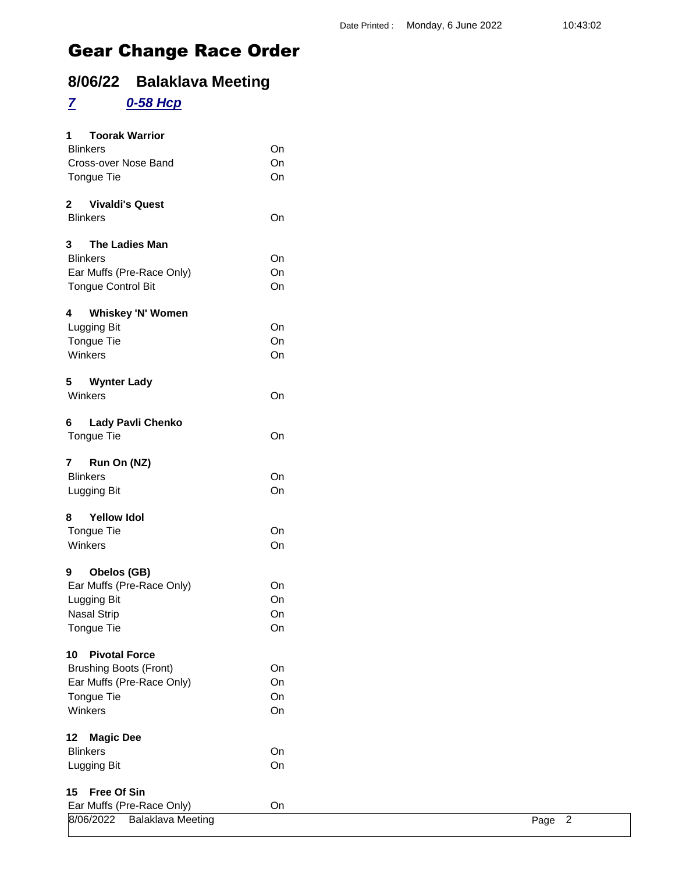# **8/06/22 Balaklava Meeting**

# *7 0-58 Hcp*

| <b>Toorak Warrior</b><br>1                 |    |        |
|--------------------------------------------|----|--------|
| <b>Blinkers</b>                            | On |        |
| Cross-over Nose Band                       | On |        |
| Tongue Tie                                 | On |        |
| $\mathbf{2}$<br><b>Vivaldi's Quest</b>     |    |        |
| <b>Blinkers</b>                            | On |        |
| The Ladies Man<br>3                        |    |        |
| <b>Blinkers</b>                            | On |        |
| Ear Muffs (Pre-Race Only)                  | On |        |
| <b>Tongue Control Bit</b>                  | On |        |
| <b>Whiskey 'N' Women</b><br>$\overline{4}$ |    |        |
| Lugging Bit                                | On |        |
| Tongue Tie                                 | On |        |
| Winkers                                    | On |        |
| 5<br><b>Wynter Lady</b>                    |    |        |
| Winkers                                    | On |        |
| <b>Lady Pavli Chenko</b><br>6              |    |        |
| Tongue Tie                                 | On |        |
| Run On (NZ)<br>7 <sup>7</sup>              |    |        |
| <b>Blinkers</b>                            | On |        |
| Lugging Bit                                | On |        |
| <b>Yellow Idol</b><br>8                    |    |        |
| Tongue Tie                                 | On |        |
| Winkers                                    | On |        |
| Obelos (GB)<br>9                           |    |        |
| Ear Muffs (Pre-Race Only)                  | On |        |
| Lugging Bit                                | On |        |
| <b>Nasal Strip</b>                         | On |        |
| Tongue Tie                                 | On |        |
| <b>Pivotal Force</b><br>10                 |    |        |
| <b>Brushing Boots (Front)</b>              | On |        |
| Ear Muffs (Pre-Race Only)                  | On |        |
| Tongue Tie                                 | On |        |
| Winkers                                    | On |        |
| <b>Magic Dee</b><br>12                     |    |        |
| <b>Blinkers</b>                            | On |        |
| Lugging Bit                                | On |        |
| <b>Free Of Sin</b><br>15                   |    |        |
| Ear Muffs (Pre-Race Only)                  | On |        |
| 8/06/2022<br><b>Balaklava Meeting</b>      |    | Page 2 |
|                                            |    |        |